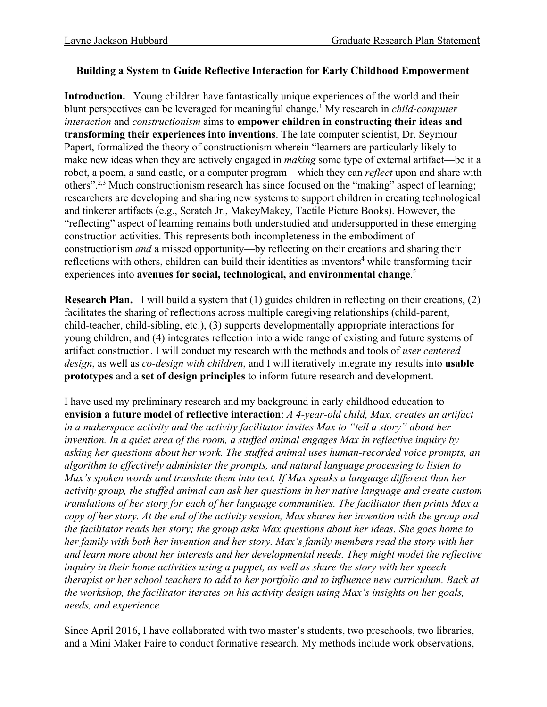## **Building a System to Guide Reflective Interaction for Early Childhood Empowerment**

**Introduction.** Young children have fantastically unique experiences of the world and their blunt perspectives can be leveraged for meaningful change.<sup>1</sup> My research in *child-computer interaction* and *constructionism* aims to **empower children in constructing their ideas and transforming their experiences into inventions**. The late computer scientist, Dr. Seymour Papert, formalized the theory of constructionism wherein "learners are particularly likely to make new ideas when they are actively engaged in *making* some type of external artifact—be it a robot, a poem, a sand castle, or a computer program—which they can *reflect* upon and share with others".<sup>2,3</sup> Much constructionism research has since focused on the "making" aspect of learning; researchers are developing and sharing new systems to support children in creating technological and tinkerer artifacts (e.g., Scratch Jr., MakeyMakey, Tactile Picture Books). However, the "reflecting" aspect of learning remains both understudied and undersupported in these emerging construction activities. This represents both incompleteness in the embodiment of constructionism *and* a missed opportunity—by reflecting on their creations and sharing their reflections with others, children can build their identities as inventors<sup>4</sup> while transforming their experiences into **avenues for social, technological, and environmental change**. 5

**Research Plan.** I will build a system that (1) guides children in reflecting on their creations, (2) facilitates the sharing of reflections across multiple caregiving relationships (child-parent, child-teacher, child-sibling, etc.), (3) supports developmentally appropriate interactions for young children, and (4) integrates reflection into a wide range of existing and future systems of artifact construction. I will conduct my research with the methods and tools of *user centered design*, as well as *co-design with children*, and I will iteratively integrate my results into **usable prototypes** and a **set of design principles** to inform future research and development.

I have used my preliminary research and my background in early childhood education to **envision a future model of reflective interaction**: *A 4-year-old child, Max, creates an artifact in a makerspace activity and the activity facilitator invites Max to "tell a story" about her invention. In a quiet area of the room, a stuffed animal engages Max in reflective inquiry by asking her questions about her work. The stuffed animal uses human-recorded voice prompts, an algorithm to effectively administer the prompts, and natural language processing to listen to Max's spoken words and translate them into text. If Max speaks a language different than her activity group, the stuffed animal can ask her questions in her native language and create custom translations of her story for each of her language communities. The facilitator then prints Max a copy of her story. At the end of the activity session, Max shares her invention with the group and the facilitator reads her story; the group asks Max questions about her ideas. She goes home to her family with both her invention and her story. Max's family members read the story with her and learn more about her interests and her developmental needs. They might model the reflective inquiry in their home activities using a puppet, as well as share the story with her speech therapist or her school teachers to add to her portfolio and to influence new curriculum. Back at the workshop, the facilitator iterates on his activity design using Max's insights on her goals, needs, and experience.*

Since April 2016, I have collaborated with two master's students, two preschools, two libraries, and a Mini Maker Faire to conduct formative research. My methods include work observations,